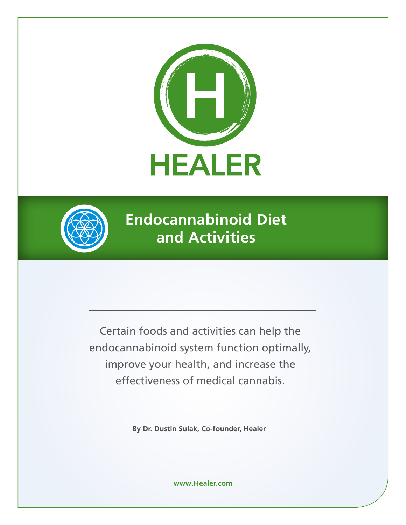



**Endocannabinoid Diet and Activities**

Certain foods and activities can help the endocannabinoid system function optimally, improve your health, and increase the effectiveness of medical cannabis.

**By Dr. Dustin Sulak, Co-founder, Healer**

**www.Healer.com**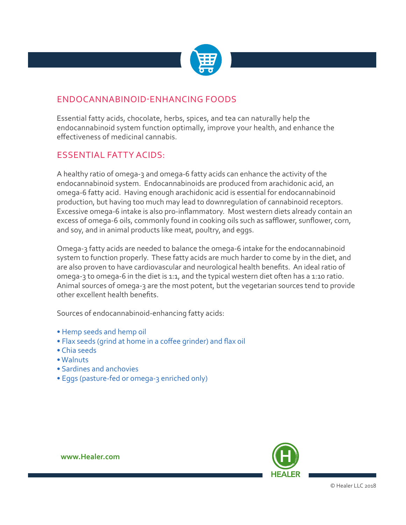

## ENDOCANNABINOID-ENHANCING FOODS

Essential fatty acids, chocolate, herbs, spices, and tea can naturally help the endocannabinoid system function optimally, improve your health, and enhance the effectiveness of medicinal cannabis.

#### ESSENTIAL FATTY ACIDS:

A healthy ratio of omega-3 and omega-6 fatty acids can enhance the activity of the endocannabinoid system. Endocannabinoids are produced from arachidonic acid, an omega-6 fatty acid. Having enough arachidonic acid is essential for endocannabinoid production, but having too much may lead to downregulation of cannabinoid receptors. Excessive omega-6 intake is also pro-inflammatory. Most western diets already contain an excess of omega-6 oils, commonly found in cooking oils such as safflower, sunflower, corn, and soy, and in animal products like meat, poultry, and eggs.

Omega-3 fatty acids are needed to balance the omega-6 intake for the endocannabinoid system to function properly. These fatty acids are much harder to come by in the diet, and are also proven to have cardiovascular and neurological health benefits. An ideal ratio of omega-3 to omega-6 in the diet is 1:1, and the typical western diet often has a 1:10 ratio. Animal sources of omega-3 are the most potent, but the vegetarian sources tend to provide other excellent health benefits.

Sources of endocannabinoid-enhancing fatty acids:

- Hemp seeds and hemp oil
- Flax seeds (grind at home in a coffee grinder) and flax oil
- Chia seeds
- Walnuts
- Sardines and anchovies
- Eggs (pasture-fed or omega-3 enriched only)



**www.Healer.com**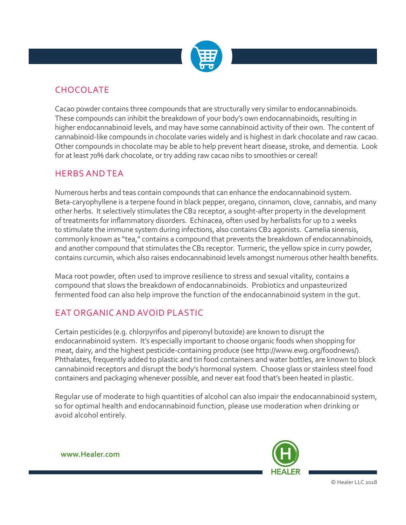

# **CHOCOLATE**

Cacao powder contains three compounds that are structurally very similar to endocannabinoids. These compounds can inhibit the breakdown of your body's own endocannabinoids, resulting in higher endocannabinoid levels, and may have some cannabinoid activity of their own. The content of cannabinoid-like compounds in chocolate varies widely and is highest in dark chocolate and raw cacao. Other compounds in chocolate may be able to help prevent heart disease, stroke, and dementia. Look for at least 70% dark chocolate, or try adding raw cacao nibs to smoothies or cereal!

#### HERBS AND TEA

Numerous herbs and teas contain compounds that can enhance the endocannabinoid system. Beta-caryophyllene is a terpene found in black pepper, oregano, cinnamon, clove, cannabis, and many other herbs. It selectively stimulates the CB2 receptor, a sought-after property in the development of treatments for inflammatory disorders. Echinacea, often used by herbalists for up to 2 weeks to stimulate the immune system during infections, also contains CB2 agonists. Camelia sinensis, commonly known as "tea," contains a compound that prevents the breakdown of endocannabinoids, and another compound that stimulates the CB1 receptor. Turmeric, the yellow spice in curry powder, contains curcumin, which also raises endocannabinoid levels amongst numerous other health benefits.

Maca root powder, often used to improve resilience to stress and sexual vitality, contains a compound that slows the breakdown of endocannabinoids. Probiotics and unpasteurized fermented food can also help improve the function of the endocannabinoid system in the gut.

# EAT ORGANIC AND AVOID PLASTIC

Certain pesticides (e.g. chlorpyrifos and piperonyl butoxide) are known to disrupt the endocannabinoid system. It's especially important to choose organic foods when shopping for meat, dairy, and the highest pesticide-containing produce (see http://www.ewg.org/foodnews/). Phthalates, frequently added to plastic and tin food containers and water bottles, are known to block cannabinoid receptors and disrupt the body's hormonal system. Choose glass or stainless steel food containers and packaging whenever possible, and never eat food that's been heated in plastic.

Regular use of moderate to high quantities of alcohol can also impair the endocannabinoid system, so for optimal health and endocannabinoid function, please use moderation when drinking or avoid alcohol entirely.



**www.Healer.com**

© Healer LLC 2018